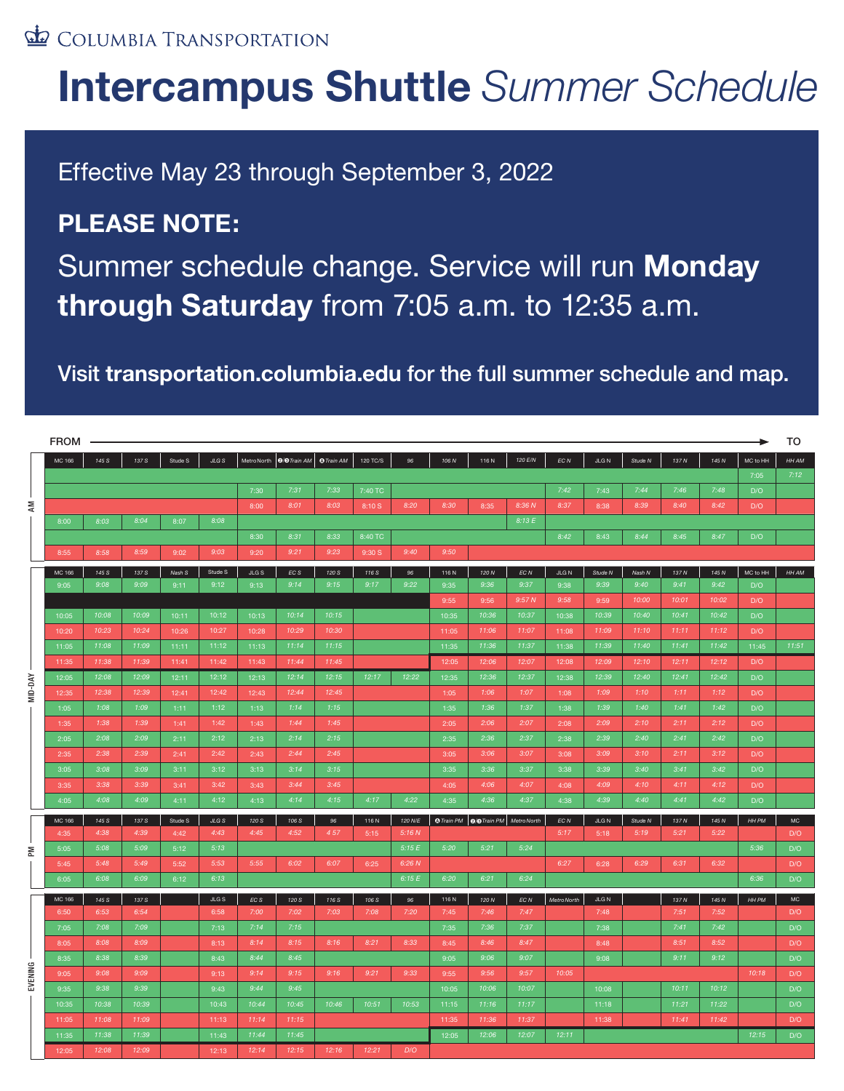#### COLUMBIA TRANSPORTATION

# **Intercampus Shuttle** *Summer Schedule*

Effective May 23 through September 3, 2022

### **PLEASE NOTE:**

Summer schedule change. Service will run **Monday through Saturday** from 7:05 a.m. to 12:35 a.m.

#### Visit **transportation.columbia.edu** for the full summer schedule and map.

|         | <b>FROM</b> |       |       |         |         |       |                          |                   |          |         |       |                                         |         |                   |             |         |          |          |          | TO          |
|---------|-------------|-------|-------|---------|---------|-------|--------------------------|-------------------|----------|---------|-------|-----------------------------------------|---------|-------------------|-------------|---------|----------|----------|----------|-------------|
|         | MC 166      | 145 S | 137 S | Stude S | JLG S   |       | MetroNorth   @/@Train AM | <b>O</b> Train AM | 120 TC/S | 96      | 106 N | 116N                                    | 120 E/N | $ECN$             | <b>JLGN</b> | Stude N | 137 N    | 145 N    | MC to HH | HH AM       |
| ξ       |             |       |       |         |         |       |                          |                   |          |         |       |                                         |         |                   |             |         |          |          | 7:05     | 7:12        |
|         |             |       |       |         |         | 7:30  | 7:31                     | 7:33              | 7:40 TC  |         |       |                                         |         | 7:42              | 7:43        | 7:44    | 7:46     | 7:48     | D/O      |             |
|         |             |       |       |         |         | 8:00  | 8:01                     | 8:03              | 8:10 S   | 8:20    | 8:30  | 8:35                                    | 8:36 N  | 8:37              | 8:38        | 8:39    | 8:40     | 8:42     | D/O      |             |
|         | 8:00        | 8:03  | 8:04  | 8:07    | 8:08    |       |                          |                   |          |         |       |                                         | 8:13E   |                   |             |         |          |          |          |             |
|         |             |       |       |         |         | 8:30  | 8:31                     | 8:33              | 8:40 TC  |         |       |                                         |         | 8:42              | 8:43        | 8:44    | 8:45     | 8:47     | D/O      |             |
|         | 8:55        | 8:58  | 8:59  | 9:02    | 9:03    | 9:20  | 9:21                     | 9:23              | 9:30 S   | 9:40    | 9:50  |                                         |         |                   |             |         |          |          |          |             |
| MID-DAY | MC 166      | 145 S | 137 S | Nash S  | Stude S | JLGS  | $_{ECS}$                 | 120 S             | 116 S    | 96      | 116N  | 120 N                                   | $EC\,N$ | JLG N             | Stude N     | Nash N  | 137 N    | 145 N    | MC to HH | HH AM       |
|         | 9:05        | 9:08  | 9:09  | 9:11    | 9:12    | 9:13  | 9:14                     | 9:15              | 9:17     | 9:22    | 9:35  | 9:36                                    | 9:37    | 9:38              | 9:39        | 9:40    | 9:41     | 9:42     | D/O      |             |
|         |             |       |       |         |         |       |                          |                   |          |         | 9:55  | 9:56                                    | 9:57N   | 9:58              | 9:59        | 10:00   | 10:01    | 10:02    | D/O      |             |
|         | 10:05       | 10:08 | 10:09 | 10:11   | 10:12   | 10:13 | 10:14                    | 10:15             |          |         | 10:35 | 10:36                                   | 10:37   | 10:38             | 10:39       | 10:40   | 10:41    | 10:42    | D/O      |             |
|         | 10:20       | 10:23 | 10:24 | 10:26   | 10:27   | 10:28 | 10:29                    | 10:30             |          |         | 11:05 | 11:06                                   | 11:07   | 11:08             | 11:09       | 11:10   | 11:11    | 11:12    | D/O      |             |
|         | 11:05       | 11:08 | 11:09 | 11:11   | 11:12   | 11:13 | 11:14                    | 11:15             |          |         | 11:35 | 11:36                                   | 11:37   | 11:38             | 11:39       | 11:40   | 11:41    | 11:42    | 11:45    | 11:51       |
|         | 11:35       | 11:38 | 11:39 | 11:41   | 11:42   | 11:43 | 11:44                    | 11:45             |          |         | 12:05 | 12:06                                   | 12:07   | 12:08             | 12:09       | 12:10   | 12:11    | 12:12    | D/O      |             |
|         | 12:05       | 12:08 | 12:09 | 12:11   | 12:12   | 12:13 | 12:14                    | 12:15             | 12:17    | 12:22   | 12:35 | 12:36                                   | 12:37   | 12:38             | 12:39       | 12:40   | 12:41    | 12:42    | D/O      |             |
|         | 12:35       | 12:38 | 12:39 | 12:41   | 12:42   | 12:43 | 12:44                    | 12:45             |          |         | 1:05  | 1:06                                    | 1:07    | 1:08              | 1:09        | 1:10    | 1:11     | 1:12     | D/O      |             |
|         | 1:05        | 1:08  | 1:09  | 1:11    | 1:12    | 1:13  | 1:14                     | 1:15              |          |         | 1:35  | 1:36                                    | 1:37    | 1:38              | 1:39        | 1:40    | 1:41     | 1:42     | D/O      |             |
|         | 1:35        | 1:38  | 1:39  | 1:41    | 1:42    | 1:43  | 1:44                     | 1:45              |          |         | 2:05  | 2:06                                    | 2:07    | 2:08              | 2:09        | 2:10    | 2:11     | 2:12     | D/O      |             |
|         | 2:05        | 2:08  | 2:09  | 2:11    | 2:12    | 2:13  | 2:14                     | 2:15              |          |         | 2:35  | 2:36                                    | 2:37    | 2:38              | 2:39        | 2:40    | 2:41     | 2:42     | D/O      |             |
|         | 2:35        | 2:38  | 2:39  | 2:41    | 2:42    | 2:43  | 2:44                     | 2:45              |          |         | 3:05  | 3:06                                    | 3:07    | 3:08              | 3:09        | 3:10    | 2:11     | 3:12     | D/O      |             |
|         | 3:05        | 3:08  | 3:09  | 3:11    | 3:12    | 3:13  | 3:14                     | 3:15              |          |         | 3:35  | 3:36                                    | 3:37    | 3:38              | 3:39        | 3:40    | 3:41     | 3:42     | D/O      |             |
|         | 3:35        | 3:38  | 3:39  | 3:41    | 3:42    | 3:43  | 3:44                     | 3:45              |          |         | 4:05  | 4:06                                    | 4:07    | 4:08              | 4:09        | 4:10    | 4:11     | 4:12     | D/O      |             |
|         | 4:05        | 4:08  | 4:09  | 4:11    | 4:12    | 4:13  | 4:14                     | 4:15              | 4:17     | 4:22    | 4:35  | 4:36                                    | 4:37    | 4:38              | 4:39        | 4:40    | 4:41     | 4:42     | D/O      |             |
| ΣR      | MC 166      | 145 S | 137 S | Stude S | $JLGS$  | 120 S | 106 S                    | 96                | 116N     | 120 N/E |       | O Train PM   O/O Train PM   Metro North |         | $ECN$             | $JLG$ N     | Stude N | 137 N    | 145 N    | HH PM    | MC          |
|         | 4:35        | 4:38  | 4:39  | 4:42    | 4:43    | 4:45  | 4:52                     | 457               | 5:15     | 5:16N   |       |                                         |         | 5:17              | 5:18        | 5:19    | 5:21     | 5:22     |          | D/O         |
|         | 5:05        | 5:08  | 5:09  | 5:12    | 5:13    |       |                          |                   |          | 5:15E   | 5:20  | 5:21                                    | 5:24    |                   |             |         |          |          | 5:36     | D/O         |
|         | 5:45        | 5:48  | 5:49  | 5:52    | 5:53    | 5:55  | 6:02                     | 6:07              | 6:25     | 6:26 N  |       |                                         |         | 6:27              | 6:28        | 6:29    | 6:31     | 6:32     |          | D/O         |
|         | 6:05        | 6:08  | 6:09  | 6:12    | 6:13    |       |                          |                   |          | 6:15E   | 6:20  | 6:21                                    | 6:24    |                   |             |         |          |          | 6:36     | D/O         |
| EVENING | MC 166      | 145 S | 137 S |         | $JLGS$  | ECS   | 120 S                    | 116 S             | 106 S    | 96      | 116N  | 120 N                                   | $EC\,N$ | <b>MetroNorth</b> | $JLG$ N     |         | $137\,N$ | $145\,N$ | HH PM    | $_{\rm MC}$ |
|         | 6:50        | 6:53  | 6:54  |         | 6:58    | 7:00  | 7:02                     | 7:03              | 7:08     | 7:20    | 7:45  | 7:46                                    | 7:47    |                   | 7:48        |         | 7:51     | 7:52     |          | D/O         |
|         | 7:05        | 7:08  | 7:09  |         | 7:13    | 7:14  | 7:15                     |                   |          |         | 7:35  | 7:36                                    | 7:37    |                   | 7:38        |         | 7:41     | 7:42     |          | D/O         |
|         | 8:05        | 8:08  | 8:09  |         | 8:13    | 8:14  | 8:15                     | 8:16              | 8:21     | 8:33    | 8:45  | 8:46                                    | 8:47    |                   | 8:48        |         | 8:51     | 8:52     |          | D/O         |
|         | 8:35        | 8:38  | 8:39  |         | 8:43    | 8:44  | 8:45                     |                   |          |         | 9:05  | 9:06                                    | 9:07    |                   | 9:08        |         | 9:11     | 9:12     |          | D/O         |
|         | 9:05        | 9:08  | 9:09  |         | 9:13    | 9:14  | 9:15                     | 9:16              | 9:21     | 9:33    | 9:55  | 9:56                                    | 9:57    | 10:05             |             |         |          |          | 10:18    | D/O         |
|         | 9:35        | 9:38  | 9:39  |         | 9:43    | 9:44  | 9:45                     |                   |          |         | 10:05 | 10:06                                   | 10:07   |                   | 10:08       |         | 10:11    | 10:12    |          | D/O         |
|         | 10:35       | 10:38 | 10:39 |         | 10:43   | 10:44 | 10:45                    | 10:46             | 10:51    | 10:53   | 11:15 | 11:16                                   | 11:17   |                   | 11:18       |         | 11:21    | 11:22    |          | D/O         |
|         | 11:05       | 11:08 | 11:09 |         | 11:13   | 11:14 | 11:15                    |                   |          |         | 11:35 | 11:36                                   | 11:37   |                   | 11:38       |         | 11:41    | 11:42    |          | D/O         |
|         | 11:35       | 11:38 | 11:39 |         | 11:43   | 11:44 | 11:45                    |                   |          |         | 12:05 | 12:06                                   | 12:07   | 12:11             |             |         |          |          | 12:15    | D/O         |
|         | 12:05       | 12:08 | 12:09 |         | 12:13   | 12:14 | 12:15                    | 12:16             | 12:21    | D/O     |       |                                         |         |                   |             |         |          |          |          |             |